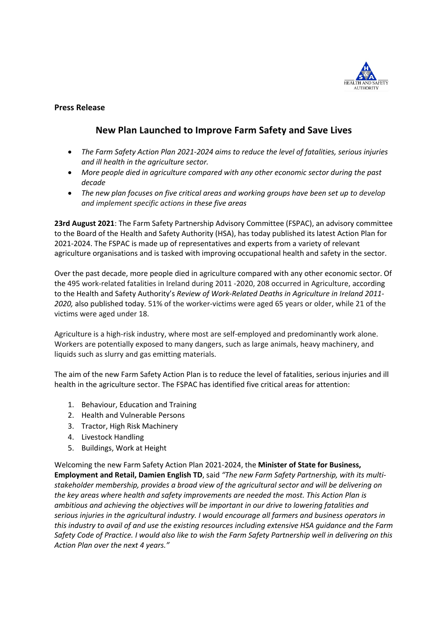

## **Press Release**

# **New Plan Launched to Improve Farm Safety and Save Lives**

- *The Farm Safety Action Plan 2021-2024 aims to reduce the level of fatalities, serious injuries and ill health in the agriculture sector.*
- More people died in agriculture compared with any other economic sector during the past *decade*
- *The new plan focuses on five critical areas and working groups have been set up to develop and implement specific actions in these five areas*

**23rd August 2021**: The Farm Safety Partnership Advisory Committee (FSPAC), an advisory committee to the Board of the Health and Safety Authority (HSA), has today published its latest Action Plan for 2021-2024. The FSPAC is made up of representatives and experts from a variety of relevant agriculture organisations and is tasked with improving occupational health and safety in the sector.

Over the past decade, more people died in agriculture compared with any other economic sector. Of the 495 work-related fatalities in Ireland during 2011 -2020, 208 occurred in Agriculture, according to the Health and Safety Authority's *Review of Work-Related Deaths in Agriculture in Ireland 2011- 2020,* also published today. 51% of the worker-victims were aged 65 years or older, while 21 of the victims were aged under 18.

Agriculture is a high-risk industry, where most are self-employed and predominantly work alone. Workers are potentially exposed to many dangers, such as large animals, heavy machinery, and liquids such as slurry and gas emitting materials.

The aim of the new Farm Safety Action Plan is to reduce the level of fatalities, serious injuries and ill health in the agriculture sector. The FSPAC has identified five critical areas for attention:

- 1. Behaviour, Education and Training
- 2. Health and Vulnerable Persons
- 3. Tractor, High Risk Machinery
- 4. Livestock Handling
- 5. Buildings, Work at Height

Welcoming the new Farm Safety Action Plan 2021-2024, the **Minister of State for Business, Employment and Retail, Damien English TD**, said *"The new Farm Safety Partnership, with its multistakeholder membership, provides a broad view of the agricultural sector and will be delivering on the key areas where health and safety improvements are needed the most. This Action Plan is ambitious and achieving the objectives will be important in our drive to lowering fatalities and serious injuries in the agricultural industry. I would encourage all farmers and business operators in this industry to avail of and use the existing resources including extensive HSA guidance and the Farm Safety Code of Practice. I would also like to wish the Farm Safety Partnership well in delivering on this Action Plan over the next 4 years."*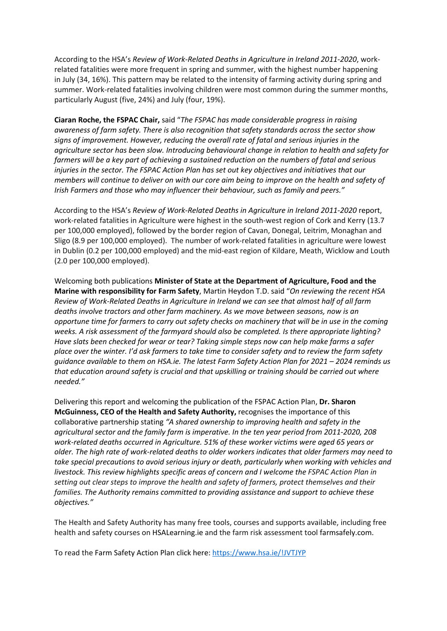According to the HSA's *Review of Work-Related Deaths in Agriculture in Ireland 2011-2020*, workrelated fatalities were more frequent in spring and summer, with the highest number happening in July (34, 16%). This pattern may be related to the intensity of farming activity during spring and summer. Work-related fatalities involving children were most common during the summer months, particularly August (five, 24%) and July (four, 19%).

**Ciaran Roche, the FSPAC Chair,** said "*The FSPAC has made considerable progress in raising awareness of farm safety. There is also recognition that safety standards across the sector show signs of improvement. However, reducing the overall rate of fatal and serious injuries in the agriculture sector has been slow. Introducing behavioural change in relation to health and safety for farmers will be a key part of achieving a sustained reduction on the numbers of fatal and serious injuries in the sector. The FSPAC Action Plan has set out key objectives and initiatives that our members will continue to deliver on with our core aim being to improve on the health and safety of Irish Farmers and those who may influencer their behaviour, such as family and peers."*

According to the HSA's *Review of Work-Related Deaths in Agriculture in Ireland 2011-2020* report, work-related fatalities in Agriculture were highest in the south-west region of Cork and Kerry (13.7 per 100,000 employed), followed by the border region of Cavan, Donegal, Leitrim, Monaghan and Sligo (8.9 per 100,000 employed). The number of work-related fatalities in agriculture were lowest in Dublin (0.2 per 100,000 employed) and the mid-east region of Kildare, Meath, Wicklow and Louth (2.0 per 100,000 employed).

Welcoming both publications **Minister of State at the Department of Agriculture, Food and the Marine with responsibility for Farm Safety**, Martin Heydon T.D. said "*On reviewing the recent HSA Review of Work-Related Deaths in Agriculture in Ireland we can see that almost half of all farm deaths involve tractors and other farm machinery. As we move between seasons, now is an opportune time for farmers to carry out safety checks on machinery that will be in use in the coming weeks. A risk assessment of the farmyard should also be completed. Is there appropriate lighting? Have slats been checked for wear or tear? Taking simple steps now can help make farms a safer place over the winter. I'd ask farmers to take time to consider safety and to review the farm safety guidance available to them on HSA.ie. The latest Farm Safety Action Plan for 2021 – 2024 reminds us that education around safety is crucial and that upskilling or training should be carried out where needed."*

Delivering this report and welcoming the publication of the FSPAC Action Plan, **Dr. Sharon McGuinness, CEO of the Health and Safety Authority,** recognises the importance of this collaborative partnership stating *"A shared ownership to improving health and safety in the agricultural sector and the family farm is imperative. In the ten year period from 2011-2020, 208 work-related deaths occurred in Agriculture. 51% of these worker victims were aged 65 years or older. The high rate of work-related deaths to older workers indicates that older farmers may need to take special precautions to avoid serious injury or death, particularly when working with vehicles and livestock. This review highlights specific areas of concern and I welcome the FSPAC Action Plan in setting out clear steps to improve the health and safety of farmers, protect themselves and their families. The Authority remains committed to providing assistance and support to achieve these objectives."* 

The Health and Safety Authority has many free tools, courses and supports available, including free health and safety courses on HSALearning.ie and the farm risk assessment tool farmsafely.com.

To read the Farm Safety Action Plan click here: https://www.hsa.ie/!JVTJYP